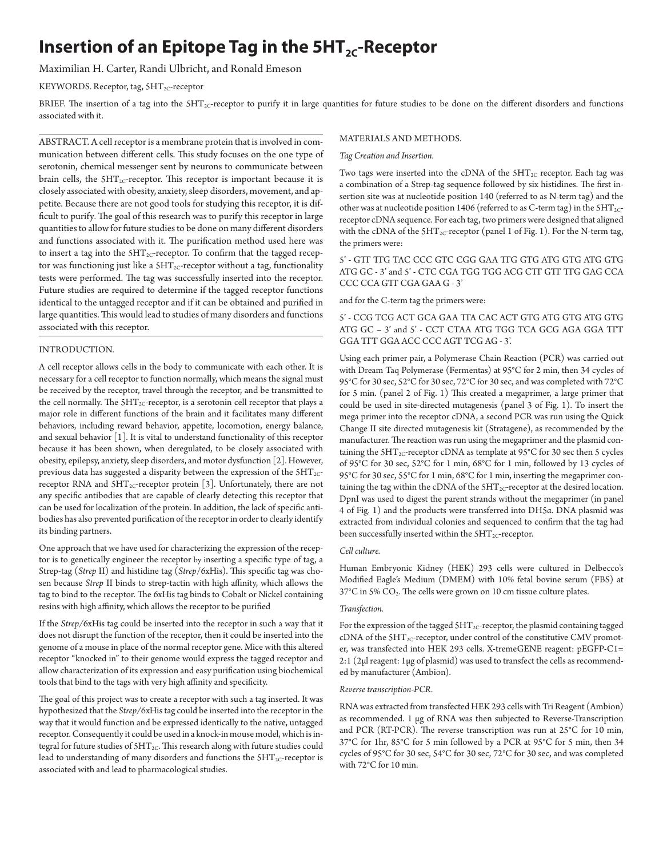# **Insertion of an Epitope Tag in the 5HT<sub>2C</sub>-Receptor**

## Maximilian H. Carter, Randi Ulbricht, and Ronald Emeson

## KEYWORDS. Receptor, tag, 5HT<sub>2C</sub>-receptor

BRIEF. The insertion of a tag into the  $SHT_{2C}$ -receptor to purify it in large quantities for future studies to be done on the different disorders and functions associated with it.

ABSTRACT. A cell receptor is a membrane protein that is involved in communication between different cells. This study focuses on the one type of serotonin, chemical messenger sent by neurons to communicate between brain cells, the  $5HT_{2C}$ -receptor. This receptor is important because it is closely associated with obesity, anxiety, sleep disorders, movement, and appetite. Because there are not good tools for studying this receptor, it is difficult to purify. The goal of this research was to purify this receptor in large quantities to allow for future studies to be done on many different disorders and functions associated with it. The purification method used here was to insert a tag into the  $5HT_{2C}$ -receptor. To confirm that the tagged receptor was functioning just like a  $5HT_{2C}$ -receptor without a tag, functionality tests were performed. The tag was successfully inserted into the receptor. Future studies are required to determine if the tagged receptor functions identical to the untagged receptor and if it can be obtained and purified in large quantities. This would lead to studies of many disorders and functions associated with this receptor.

## INTRODUCTION.

A cell receptor allows cells in the body to communicate with each other. It is necessary for a cell receptor to function normally, which means the signal must be received by the receptor, travel through the receptor, and be transmitted to the cell normally. The  $5HT_{2C}$ -receptor, is a serotonin cell receptor that plays a major role in different functions of the brain and it facilitates many different behaviors, including reward behavior, appetite, locomotion, energy balance, and sexual behavior [1]. It is vital to understand functionality of this receptor because it has been shown, when deregulated, to be closely associated with obesity, epilepsy, anxiety, sleep disorders, and motor dysfunction [2]. However, previous data has suggested a disparity between the expression of the  $5HT_{2C}$ receptor RNA and 5HT<sub>2C</sub>-receptor protein [3]. Unfortunately, there are not any specific antibodies that are capable of clearly detecting this receptor that can be used for localization of the protein. In addition, the lack of specific antibodies has also prevented purification of the receptor in order to clearly identify its binding partners.

One approach that we have used for characterizing the expression of the receptor is to genetically engineer the receptor by inserting a specific type of tag, a Strep-tag (*Strep* II) and histidine tag (*Strep*/6xHis). This specific tag was chosen because *Strep* II binds to strep-tactin with high affinity, which allows the tag to bind to the receptor. The 6xHis tag binds to Cobalt or Nickel containing resins with high affinity, which allows the receptor to be purified

If the *Strep/*6xHis tag could be inserted into the receptor in such a way that it does not disrupt the function of the receptor, then it could be inserted into the genome of a mouse in place of the normal receptor gene. Mice with this altered receptor "knocked in" to their genome would express the tagged receptor and allow characterization of its expression and easy purification using biochemical tools that bind to the tags with very high affinity and specificity.

The goal of this project was to create a receptor with such a tag inserted. It was hypothesized that the *Strep/*6xHis tag could be inserted into the receptor in the way that it would function and be expressed identically to the native, untagged receptor. Consequently it could be used in a knock-in mouse model, which is integral for future studies of  $5HT_{2C}$ . This research along with future studies could lead to understanding of many disorders and functions the  $SHT_{2C}$ -receptor is associated with and lead to pharmacological studies.

## MATERIALS AND METHODS.

## *Tag Creation and Insertion.*

Two tags were inserted into the cDNA of the  $SHT_{2C}$  receptor. Each tag was a combination of a Strep-tag sequence followed by six histidines. The first insertion site was at nucleotide position 140 (referred to as N-term tag) and the other was at nucleotide position 1406 (referred to as C-term tag) in the  $5HT_{2C}$ receptor cDNA sequence. For each tag, two primers were designed that aligned with the cDNA of the  $5HT_{2C}$ -receptor (panel 1 of Fig. 1). For the N-term tag, the primers were:

## 5' - GTT TTG TAC CCC GTC CGG GAA TTG GTG ATG GTG ATG GTG ATG GC - 3' and 5' - CTC CGA TGG TGG ACG CTT GTT TTG GAG CCA CCC CCA GTT CGA GAA G - 3'

#### and for the C-term tag the primers were:

5' - CCG TCG ACT GCA GAA TTA CAC ACT GTG ATG GTG ATG GTG ATG GC – 3' and 5' - CCT CTAA ATG TGG TCA GCG AGA GGA TTT GGA TTT GGA ACC CCC AGT TCG AG - 3'.

Using each primer pair, a Polymerase Chain Reaction (PCR) was carried out with Dream Taq Polymerase (Fermentas) at 95°C for 2 min, then 34 cycles of 95°C for 30 sec, 52°C for 30 sec, 72°C for 30 sec, and was completed with 72°C for 5 min. (panel 2 of Fig. 1) This created a megaprimer, a large primer that could be used in site-directed mutagenesis (panel 3 of Fig. 1). To insert the mega primer into the receptor cDNA, a second PCR was run using the Quick Change II site directed mutagenesis kit (Stratagene), as recommended by the manufacturer. The reaction was run using the megaprimer and the plasmid containing the  $5HT_{2C}$ -receptor cDNA as template at 95°C for 30 sec then 5 cycles of 95°C for 30 sec, 52°C for 1 min, 68°C for 1 min, followed by 13 cycles of 95°C for 30 sec, 55°C for 1 min, 68°C for 1 min, inserting the megaprimer containing the tag within the cDNA of the  $SHT_{2C}$ -receptor at the desired location. DpnI was used to digest the parent strands without the megaprimer (in panel 4 of Fig. 1) and the products were transferred into DH5α. DNA plasmid was extracted from individual colonies and sequenced to confirm that the tag had been successfully inserted within the  $5HT_{2C}$ -receptor.

#### *Cell culture.*

Human Embryonic Kidney (HEK) 293 cells were cultured in Delbecco's Modified Eagle's Medium (DMEM) with 10% fetal bovine serum (FBS) at 37°C in 5% CO<sub>2</sub>. The cells were grown on 10 cm tissue culture plates.

## *Transfection.*

For the expression of the tagged  $5HT_{2C}$ -receptor, the plasmid containing tagged cDNA of the  $5HT_{2C}$ -receptor, under control of the constitutive CMV promoter, was transfected into HEK 293 cells. X-tremeGENE reagent: pEGFP-C1= 2:1 (2µl reagent: 1µg of plasmid) was used to transfect the cells as recommended by manufacturer (Ambion).

## *Reverse transcription-PCR.*

RNA was extracted from transfected HEK 293 cells with Tri Reagent (Ambion) as recommended. 1 μg of RNA was then subjected to Reverse-Transcription and PCR (RT-PCR). The reverse transcription was run at 25°C for 10 min, 37°C for 1hr, 85°C for 5 min followed by a PCR at 95°C for 5 min, then 34 cycles of 95°C for 30 sec, 54°C for 30 sec, 72°C for 30 sec, and was completed with 72°C for 10 min.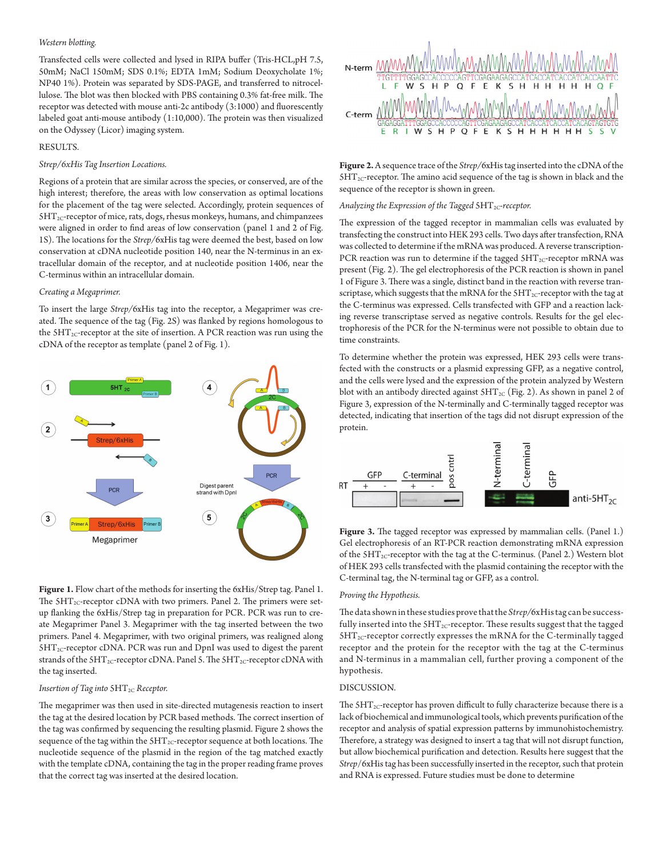#### *Western blotting.*

Transfected cells were collected and lysed in RIPA buffer (Tris-HCL,pH 7.5, 50mM; NaCl 150mM; SDS 0.1%; EDTA 1mM; Sodium Deoxycholate 1%; NP40 1%). Protein was separated by SDS-PAGE, and transferred to nitrocellulose. The blot was then blocked with PBS containing 0.3% fat-free milk. The receptor was detected with mouse anti-2c antibody (3:1000) and fluorescently labeled goat anti-mouse antibody (1:10,000). The protein was then visualized on the Odyssey (Licor) imaging system.

## RESULTS.

## *Strep/6xHis Tag Insertion Locations.*

Regions of a protein that are similar across the species, or conserved, are of the high interest; therefore, the areas with low conservation as optimal locations for the placement of the tag were selected. Accordingly, protein sequences of  $5HT_{2C}$ -receptor of mice, rats, dogs, rhesus monkeys, humans, and chimpanzees were aligned in order to find areas of low conservation (panel 1 and 2 of Fig. 1S). The locations for the *Strep/*6xHis tag were deemed the best, based on low conservation at cDNA nucleotide position 140, near the N-terminus in an extracellular domain of the receptor, and at nucleotide position 1406, near the C-terminus within an intracellular domain.

#### *Creating a Megaprimer.*

To insert the large *Strep/*6xHis tag into the receptor, a Megaprimer was created. The sequence of the tag (Fig. 2S) was flanked by regions homologous to the  $5HT_{2C}$ -receptor at the site of insertion. A PCR reaction was run using the cDNA of the receptor as template (panel 2 of Fig. 1).



Figure 1. Flow chart of the methods for inserting the 6xHis/Strep tag. Panel 1. The  $5HT_{2C}$ -receptor cDNA with two primers. Panel 2. The primers were setup flanking the 6xHis/Strep tag in preparation for PCR. PCR was run to create Megaprimer Panel 3. Megaprimer with the tag inserted between the two primers. Panel 4. Megaprimer, with two original primers, was realigned along  $5HT_{2C}$ -receptor cDNA. PCR was run and DpnI was used to digest the parent strands of the  $5HT_{2C}$ -receptor cDNA. Panel 5. The  $5HT_{2C}$ -receptor cDNA with the tag inserted.

#### *Insertion of Tag into*  $5HT_{2C}$  *Receptor.*

The megaprimer was then used in site-directed mutagenesis reaction to insert the tag at the desired location by PCR based methods. The correct insertion of the tag was confirmed by sequencing the resulting plasmid. Figure 2 shows the sequence of the tag within the  $SHT_{2C}$ -receptor sequence at both locations. The nucleotide sequence of the plasmid in the region of the tag matched exactly with the template cDNA, containing the tag in the proper reading frame proves that the correct tag was inserted at the desired location.



**Figure 2.** A sequence trace of the *Strep/*6xHis tag inserted into the cDNA of the  $5HT_{2C}$ -receptor. The amino acid sequence of the tag is shown in black and the sequence of the receptor is shown in green.

## Analyzing the Expression of the Tagged  $5HT_{2C}$ -receptor.

The expression of the tagged receptor in mammalian cells was evaluated by transfecting the construct into HEK 293 cells. Two days after transfection, RNA was collected to determine if the mRNA was produced. A reverse transcription-PCR reaction was run to determine if the tagged  $5HT_{2C}$ -receptor mRNA was present (Fig. 2). The gel electrophoresis of the PCR reaction is shown in panel 1 of Figure 3. There was a single, distinct band in the reaction with reverse transcriptase, which suggests that the mRNA for the  $5HT_{2C}$ -receptor with the tag at the C-terminus was expressed. Cells transfected with GFP and a reaction lacking reverse transcriptase served as negative controls. Results for the gel electrophoresis of the PCR for the N-terminus were not possible to obtain due to time constraints.

To determine whether the protein was expressed, HEK 293 cells were transfected with the constructs or a plasmid expressing GFP, as a negative control, and the cells were lysed and the expression of the protein analyzed by Western blot with an antibody directed against  $5HT_{2C}$  (Fig. 2). As shown in panel 2 of Figure 3, expression of the N-terminally and C-terminally tagged receptor was detected, indicating that insertion of the tags did not disrupt expression of the protein.



**Figure 3.** The tagged receptor was expressed by mammalian cells. (Panel 1.) Gel electrophoresis of an RT-PCR reaction demonstrating mRNA expression of the  $5HT_{2C}$ -receptor with the tag at the C-terminus. (Panel 2.) Western blot of HEK 293 cells transfected with the plasmid containing the receptor with the C-terminal tag, the N-terminal tag or GFP, as a control.

#### *Proving the Hypothesis.*

The data shown in these studies prove that the *Strep/*6xHis tag can be successfully inserted into the  $5HT_{2C}$ -receptor. These results suggest that the tagged  $5HT_{2C}$ -receptor correctly expresses the mRNA for the C-terminally tagged receptor and the protein for the receptor with the tag at the C-terminus and N-terminus in a mammalian cell, further proving a component of the hypothesis.

## DISCUSSION.

The  $5HT_{2C}$ -receptor has proven difficult to fully characterize because there is a lack of biochemical and immunological tools, which prevents purification of the receptor and analysis of spatial expression patterns by immunohistochemistry. Therefore, a strategy was designed to insert a tag that will not disrupt function, but allow biochemical purification and detection. Results here suggest that the *Strep*/6xHis tag has been successfully inserted in the receptor, such that protein and RNA is expressed. Future studies must be done to determine